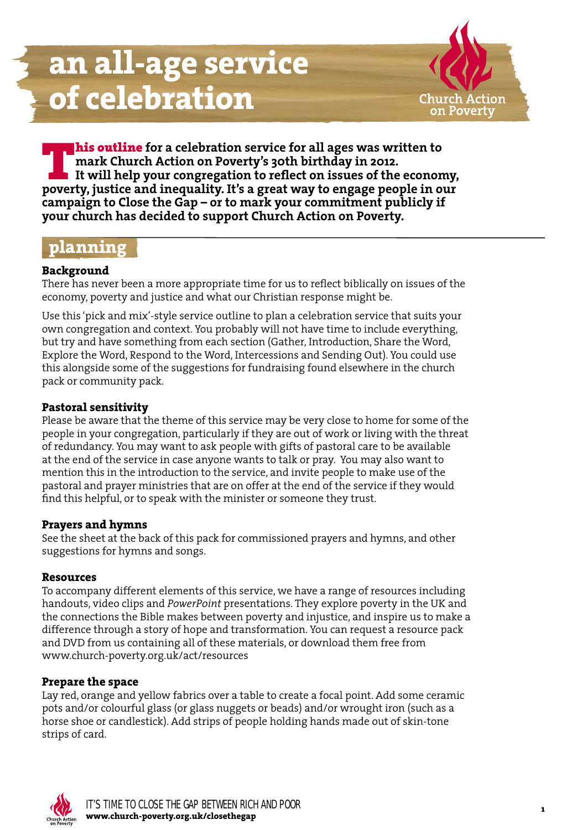

**Post Chine for a celebration service for all ages was written to**<br> **poverty** in a consistent in the power to reflect on issues of the economy,<br>
poverty, justice and inequality. It's a great way to engage people in our **mark Church Action on Poverty's 30th birthday in 2012. It will help your congregation to reflect on issues of the economy, campaign to Close the Gap – or to mark your commitment publicly if your church has decided to support Church Action on Poverty.**

## **planning**

### **Background**

There has never been a more appropriate time for us to reflect biblically on issues of the economy, poverty and justice and what our Christian response might be.

Use this 'pick and mix'-style service outline to plan a celebration service that suits your own congregation and context. You probably will not have time to include everything, but try and have something from each section (Gather, Introduction, Share the Word, Explore the Word, Respond to the Word, Intercessions and Sending Out). You could use this alongside some of the suggestions for fundraising found elsewhere in the church pack or community pack.

## **Pastoral sensitivity**

Please be aware that the theme of this service may be very close to home for some of the people in your congregation, particularly if they are out of work or living with the threat of redundancy. You may want to ask people with gifts of pastoral care to be available at the end of the service in case anyone wants to talk or pray. You may also want to mention this in the introduction to the service, and invite people to make use of the pastoral and prayer ministries that are on offer at the end of the service if they would find this helpful, or to speak with the minister or someone they trust.

### **Prayers and hymns**

See the sheet at the back of this pack for commissioned prayers and hymns, and other suggestions for hymns and songs.

### **Resources**

To accompany different elements of this service, we have a range of resources including handouts, video clips and *PowerPoint* presentations. They explore poverty in the UK and the connections the Bible makes between poverty and injustice, and inspire us to make a difference through a story of hope and transformation. You can request a resource pack and DVD from us containing all of these materials, or download them free from www.church-poverty.org.uk/act/resources

## **Prepare the space**

Lay red, orange and yellow fabrics over a table to create a focal point. Add some ceramic pots and/or colourful glass (or glass nuggets or beads) and/or wrought iron (such as a horse shoe or candlestick). Add strips of people holding hands made out of skin-tone strips of card.

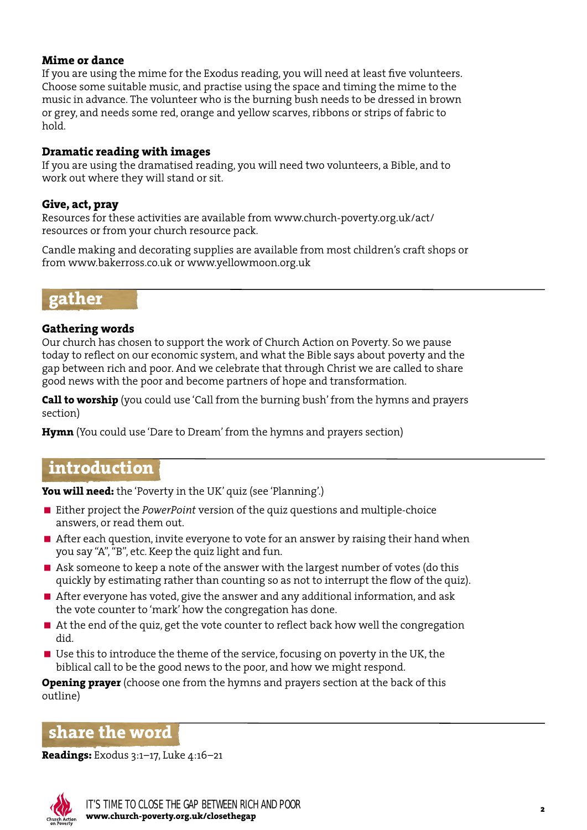### **Mime or dance**

If you are using the mime for the Exodus reading, you will need at least five volunteers. Choose some suitable music, and practise using the space and timing the mime to the music in advance. The volunteer who is the burning bush needs to be dressed in brown or grey, and needs some red, orange and yellow scarves, ribbons or strips of fabric to hold.

#### **Dramatic reading with images**

If you are using the dramatised reading, you will need two volunteers, a Bible, and to work out where they will stand or sit.

#### **Give, act, pray**

Resources for these activities are available from www.church-poverty.org.uk/act/ resources or from your church resource pack.

Candle making and decorating supplies are available from most children's craft shops or from www.bakerross.co.uk or www.yellowmoon.org.uk

## **gather**

### **Gathering words**

Our church has chosen to support the work of Church Action on Poverty. So we pause today to reflect on our economic system, and what the Bible says about poverty and the gap between rich and poor. And we celebrate that through Christ we are called to share good news with the poor and become partners of hope and transformation.

**Call to worship** (you could use 'Call from the burning bush' from the hymns and prayers section)

**Hymn** (You could use 'Dare to Dream' from the hymns and prayers section)

## **introduction**

**You will need:** the 'Poverty in the UK' quiz (see 'Planning'.)

- Either project the *PowerPoint* version of the quiz questions and multiple-choice answers, or read them out.
- After each question, invite everyone to vote for an answer by raising their hand when you say "A", "B", etc. Keep the quiz light and fun.
- Ask someone to keep a note of the answer with the largest number of votes (do this quickly by estimating rather than counting so as not to interrupt the flow of the quiz).
- After everyone has voted, give the answer and any additional information, and ask the vote counter to 'mark' how the congregation has done.
- At the end of the quiz, get the vote counter to reflect back how well the congregation did.
- Use this to introduce the theme of the service, focusing on poverty in the UK, the biblical call to be the good news to the poor, and how we might respond.

**Opening prayer** (choose one from the hymns and prayers section at the back of this outline)

## **share the word**

**Readings:** Exodus 3:1–17, Luke 4:16–21

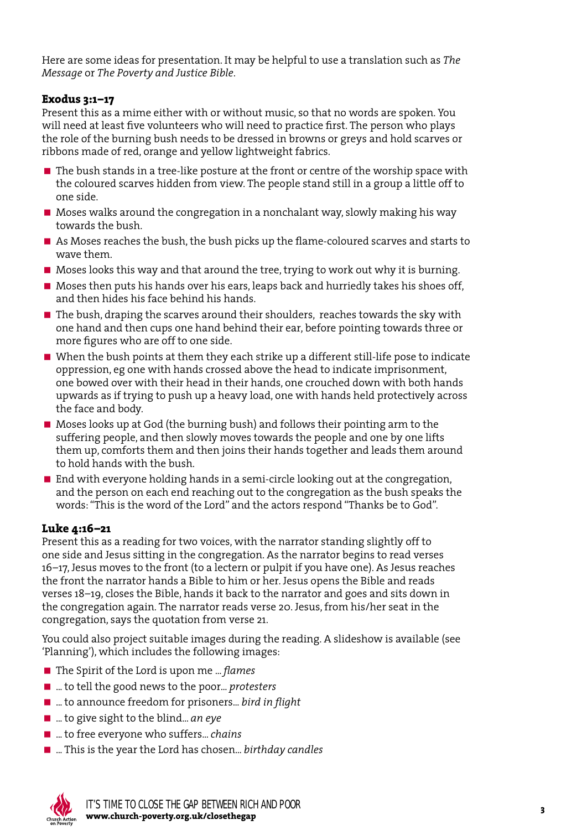Here are some ideas for presentation. It may be helpful to use a translation such as *The Message* or *The Poverty and Justice Bible*.

#### **Exodus 3:1–17**

Present this as a mime either with or without music, so that no words are spoken. You will need at least five volunteers who will need to practice first. The person who plays the role of the burning bush needs to be dressed in browns or greys and hold scarves or ribbons made of red, orange and yellow lightweight fabrics.

- $\blacksquare$  The bush stands in a tree-like posture at the front or centre of the worship space with the coloured scarves hidden from view. The people stand still in a group a little off to one side.
- Moses walks around the congregation in a nonchalant way, slowly making his way towards the bush.
- As Moses reaches the bush, the bush picks up the flame-coloured scarves and starts to wave them.
- Moses looks this way and that around the tree, trying to work out why it is burning.
- Moses then puts his hands over his ears, leaps back and hurriedly takes his shoes off, and then hides his face behind his hands.
- The bush, draping the scarves around their shoulders, reaches towards the sky with one hand and then cups one hand behind their ear, before pointing towards three or more figures who are off to one side.
- When the bush points at them they each strike up a different still-life pose to indicate oppression, eg one with hands crossed above the head to indicate imprisonment, one bowed over with their head in their hands, one crouched down with both hands upwards as if trying to push up a heavy load, one with hands held protectively across the face and body.
- Moses looks up at God (the burning bush) and follows their pointing arm to the suffering people, and then slowly moves towards the people and one by one lifts them up, comforts them and then joins their hands together and leads them around to hold hands with the bush.
- End with everyone holding hands in a semi-circle looking out at the congregation, and the person on each end reaching out to the congregation as the bush speaks the words: "This is the word of the Lord" and the actors respond "Thanks be to God".

## **Luke 4:16–21**

Present this as a reading for two voices, with the narrator standing slightly off to one side and Jesus sitting in the congregation. As the narrator begins to read verses 16–17, Jesus moves to the front (to a lectern or pulpit if you have one). As Jesus reaches the front the narrator hands a Bible to him or her. Jesus opens the Bible and reads verses 18–19, closes the Bible, hands it back to the narrator and goes and sits down in the congregation again. The narrator reads verse 20. Jesus, from his/her seat in the congregation, says the quotation from verse 21.

You could also project suitable images during the reading. A slideshow is available (see 'Planning'), which includes the following images:

- The Spirit of the Lord is upon me ... *flames*
- ... to tell the good news to the poor... *protesters*
- ... to announce freedom for prisoners... *bird in flight*
- ... to give sight to the blind... *an eye*
- ... to free everyone who suffers... *chains*
- ... This is the year the Lord has chosen... *birthday candles*

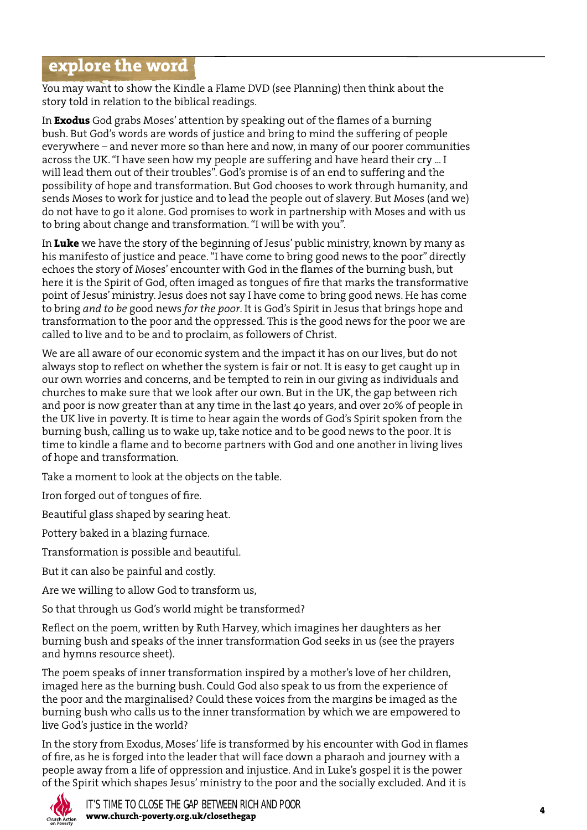# **explore the word**

You may want to show the Kindle a Flame DVD (see Planning) then think about the story told in relation to the biblical readings.

In **Exodus** God grabs Moses' attention by speaking out of the flames of a burning bush. But God's words are words of justice and bring to mind the suffering of people everywhere – and never more so than here and now, in many of our poorer communities across the UK. "I have seen how my people are suffering and have heard their cry ... I will lead them out of their troubles". God's promise is of an end to suffering and the possibility of hope and transformation. But God chooses to work through humanity, and sends Moses to work for justice and to lead the people out of slavery. But Moses (and we) do not have to go it alone. God promises to work in partnership with Moses and with us to bring about change and transformation. "I will be with you".

In **Luke** we have the story of the beginning of Jesus' public ministry, known by many as his manifesto of justice and peace. "I have come to bring good news to the poor" directly echoes the story of Moses' encounter with God in the flames of the burning bush, but here it is the Spirit of God, often imaged as tongues of fire that marks the transformative point of Jesus' ministry. Jesus does not say I have come to bring good news. He has come to bring *and to be* good news *for the poor*. It is God's Spirit in Jesus that brings hope and transformation to the poor and the oppressed. This is the good news for the poor we are called to live and to be and to proclaim, as followers of Christ.

We are all aware of our economic system and the impact it has on our lives, but do not always stop to reflect on whether the system is fair or not. It is easy to get caught up in our own worries and concerns, and be tempted to rein in our giving as individuals and churches to make sure that we look after our own. But in the UK, the gap between rich and poor is now greater than at any time in the last 40 years, and over 20% of people in the UK live in poverty. It is time to hear again the words of God's Spirit spoken from the burning bush, calling us to wake up, take notice and to be good news to the poor. It is time to kindle a flame and to become partners with God and one another in living lives of hope and transformation.

Take a moment to look at the objects on the table.

Iron forged out of tongues of fire.

Beautiful glass shaped by searing heat.

Pottery baked in a blazing furnace.

Transformation is possible and beautiful.

But it can also be painful and costly.

Are we willing to allow God to transform us,

So that through us God's world might be transformed?

Reflect on the poem, written by Ruth Harvey, which imagines her daughters as her burning bush and speaks of the inner transformation God seeks in us (see the prayers and hymns resource sheet).

The poem speaks of inner transformation inspired by a mother's love of her children, imaged here as the burning bush. Could God also speak to us from the experience of the poor and the marginalised? Could these voices from the margins be imaged as the burning bush who calls us to the inner transformation by which we are empowered to live God's justice in the world?

In the story from Exodus, Moses' life is transformed by his encounter with God in flames of fire, as he is forged into the leader that will face down a pharaoh and journey with a people away from a life of oppression and injustice. And in Luke's gospel it is the power of the Spirit which shapes Jesus' ministry to the poor and the socially excluded. And it is

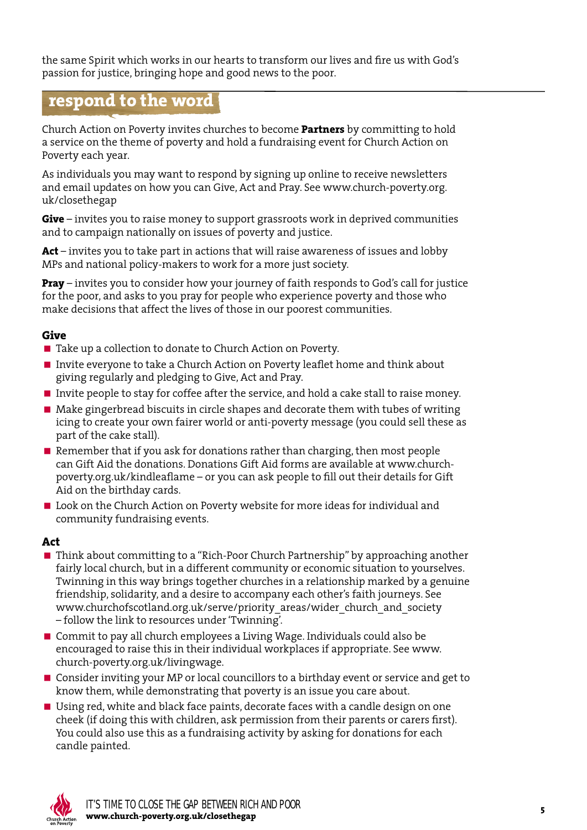the same Spirit which works in our hearts to transform our lives and fire us with God's passion for justice, bringing hope and good news to the poor.

# **respond to the word**

Church Action on Poverty invites churches to become **Partners** by committing to hold a service on the theme of poverty and hold a fundraising event for Church Action on Poverty each year.

As individuals you may want to respond by signing up online to receive newsletters and email updates on how you can Give, Act and Pray. See www.church-poverty.org. uk/closethegap

**Give** – invites you to raise money to support grassroots work in deprived communities and to campaign nationally on issues of poverty and justice.

**Act** – invites you to take part in actions that will raise awareness of issues and lobby MPs and national policy-makers to work for a more just society.

**Pray** – invites you to consider how your journey of faith responds to God's call for justice for the poor, and asks to you pray for people who experience poverty and those who make decisions that affect the lives of those in our poorest communities.

### **Give**

- Take up a collection to donate to Church Action on Poverty.
- Invite everyone to take a Church Action on Poverty leaflet home and think about giving regularly and pledging to Give, Act and Pray.
- Invite people to stay for coffee after the service, and hold a cake stall to raise money.
- Make gingerbread biscuits in circle shapes and decorate them with tubes of writing icing to create your own fairer world or anti-poverty message (you could sell these as part of the cake stall).
- Remember that if you ask for donations rather than charging, then most people can Gift Aid the donations. Donations Gift Aid forms are available at www.churchpoverty.org.uk/kindleaflame – or you can ask people to fill out their details for Gift Aid on the birthday cards.
- **Look on the Church Action on Poverty website for more ideas for individual and** community fundraising events.

### **Act**

- Think about committing to a "Rich-Poor Church Partnership" by approaching another fairly local church, but in a different community or economic situation to yourselves. Twinning in this way brings together churches in a relationship marked by a genuine friendship, solidarity, and a desire to accompany each other's faith journeys. See www.churchofscotland.org.uk/serve/priority\_areas/wider\_church\_and\_society – follow the link to resources under 'Twinning'.
- Commit to pay all church employees a Living Wage. Individuals could also be encouraged to raise this in their individual workplaces if appropriate. See www. church-poverty.org.uk/livingwage.
- Consider inviting your MP or local councillors to a birthday event or service and get to know them, while demonstrating that poverty is an issue you care about.
- Using red, white and black face paints, decorate faces with a candle design on one cheek (if doing this with children, ask permission from their parents or carers first). You could also use this as a fundraising activity by asking for donations for each candle painted.

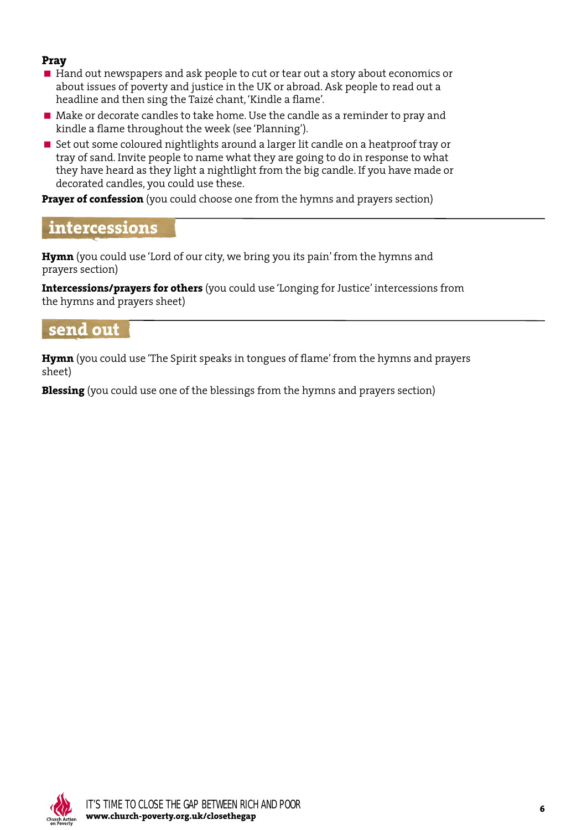### **Pray**

- Hand out newspapers and ask people to cut or tear out a story about economics or about issues of poverty and justice in the UK or abroad. Ask people to read out a headline and then sing the Taizé chant, 'Kindle a flame'.
- Make or decorate candles to take home. Use the candle as a reminder to pray and kindle a flame throughout the week (see 'Planning').
- Set out some coloured nightlights around a larger lit candle on a heatproof tray or tray of sand. Invite people to name what they are going to do in response to what they have heard as they light a nightlight from the big candle. If you have made or decorated candles, you could use these.

**Prayer of confession** (you could choose one from the hymns and prayers section)

## **intercessions**

**Hymn** (you could use 'Lord of our city, we bring you its pain' from the hymns and prayers section)

**Intercessions/prayers for others** (you could use 'Longing for Justice' intercessions from the hymns and prayers sheet)

## **send out**

**Hymn** (you could use 'The Spirit speaks in tongues of flame' from the hymns and prayers sheet)

**Blessing** (you could use one of the blessings from the hymns and prayers section)

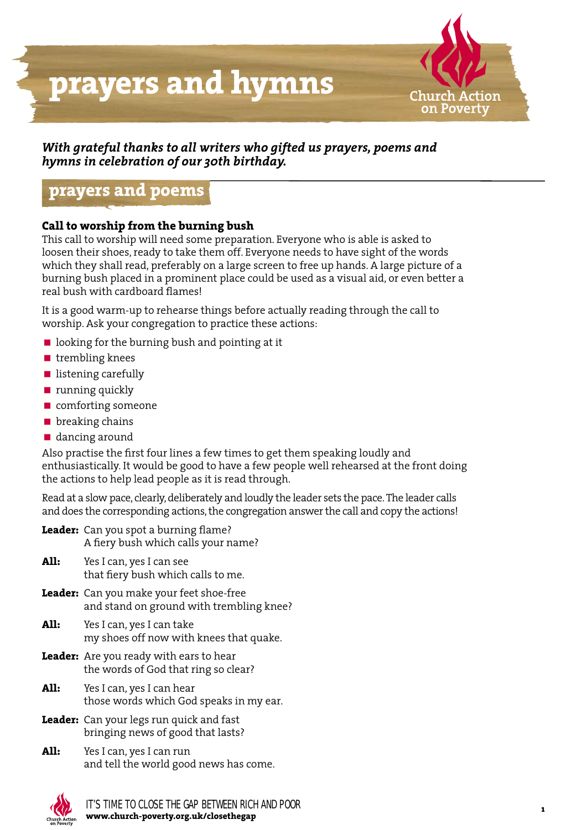

## *With grateful thanks to all writers who gifted us prayers, poems and hymns in celebration of our 30th birthday.*

## **prayers and poems**

### **Call to worship from the burning bush**

This call to worship will need some preparation. Everyone who is able is asked to loosen their shoes, ready to take them off. Everyone needs to have sight of the words which they shall read, preferably on a large screen to free up hands. A large picture of a burning bush placed in a prominent place could be used as a visual aid, or even better a real bush with cardboard flames!

It is a good warm-up to rehearse things before actually reading through the call to worship. Ask your congregation to practice these actions:

- $\blacksquare$  looking for the burning bush and pointing at it
- trembling knees
- **n** listening carefully
- **running quickly**
- **n** comforting someone
- **D** breaking chains
- dancing around

Also practise the first four lines a few times to get them speaking loudly and enthusiastically. It would be good to have a few people well rehearsed at the front doing the actions to help lead people as it is read through.

Read at a slow pace, clearly, deliberately and loudly the leader sets the pace. The leader calls and does the corresponding actions, the congregation answer the call and copy the actions!

- **Leader:** Can you spot a burning flame? A fiery bush which calls your name?
- **All:** Yes I can, yes I can see that fiery bush which calls to me.
- **Leader:** Can you make your feet shoe-free and stand on ground with trembling knee?
- **All:** Yes I can, yes I can take my shoes off now with knees that quake.
- **Leader:** Are you ready with ears to hear the words of God that ring so clear?
- **All:** Yes I can, yes I can hear those words which God speaks in my ear.
- **Leader:** Can your legs run quick and fast bringing news of good that lasts?
- **All:** Yes I can, yes I can run and tell the world good news has come.

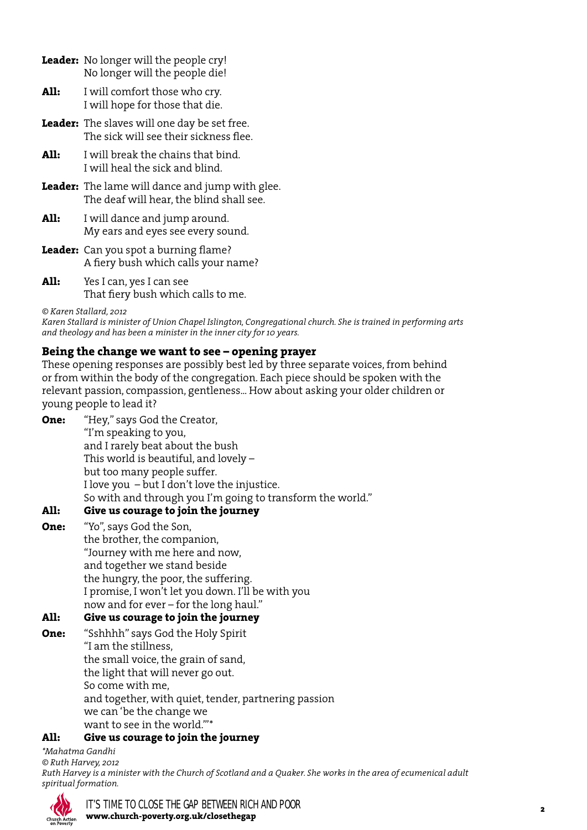- **Leader:** No longer will the people cry! No longer will the people die!
- All: I will comfort those who cry. I will hope for those that die.
- **Leader:** The slaves will one day be set free. The sick will see their sickness flee.
- **All:** I will break the chains that bind. I will heal the sick and blind.
- **Leader:** The lame will dance and jump with glee. The deaf will hear, the blind shall see.
- **All:** I will dance and jump around. My ears and eyes see every sound.
- **Leader:** Can you spot a burning flame? A fiery bush which calls your name?
- **All:** Yes I can, yes I can see That fiery bush which calls to me.

*© Karen Stallard, 2012*

*Karen Stallard is minister of Union Chapel Islington, Congregational church. She is trained in performing arts and theology and has been a minister in the inner city for 10 years.*

### **Being the change we want to see – opening prayer**

These opening responses are possibly best led by three separate voices, from behind or from within the body of the congregation. Each piece should be spoken with the relevant passion, compassion, gentleness... How about asking your older children or young people to lead it?

| One: | "Hey," says God the Creator,                               |
|------|------------------------------------------------------------|
|      | "I'm speaking to you,                                      |
|      | and I rarely beat about the bush                           |
|      | This world is beautiful, and lovely -                      |
|      | but too many people suffer.                                |
|      | I love you $-$ but I don't love the injustice.             |
|      | So with and through you I'm going to transform the world." |
|      |                                                            |

### **All: Give us courage to join the journey**

**One:** "Yo", says God the Son, the brother, the companion, "Journey with me here and now, and together we stand beside the hungry, the poor, the suffering. I promise, I won't let you down. I'll be with you now and for ever – for the long haul."

## **All: Give us courage to join the journey**

**One:** "Sshhhh" says God the Holy Spirit "I am the stillness, the small voice, the grain of sand, the light that will never go out. So come with me, and together, with quiet, tender, partnering passion we can 'be the change we want to see in the world.'"\*

### **All: Give us courage to join the journey**

*\*Mahatma Gandhi © Ruth Harvey, 2012 Ruth Harvey is a minister with the Church of Scotland and a Quaker. She works in the area of ecumenical adult spiritual formation.*

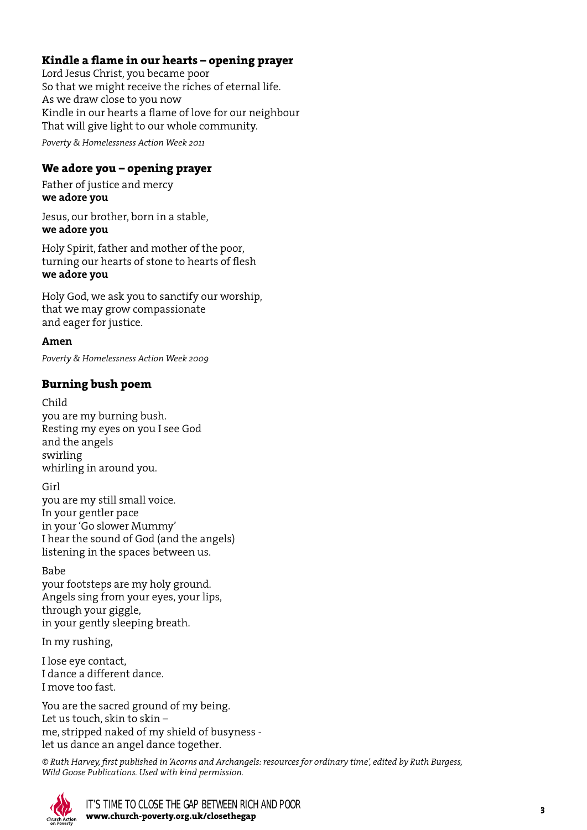## **Kindle a flame in our hearts – opening prayer**

Lord Jesus Christ, you became poor So that we might receive the riches of eternal life. As we draw close to you now Kindle in our hearts a flame of love for our neighbour That will give light to our whole community.

*Poverty & Homelessness Action Week 2011*

#### **We adore you – opening prayer**

Father of justice and mercy **we adore you**

Jesus, our brother, born in a stable, **we adore you**

Holy Spirit, father and mother of the poor, turning our hearts of stone to hearts of flesh **we adore you**

Holy God, we ask you to sanctify our worship, that we may grow compassionate and eager for justice.

**Amen**

*Poverty & Homelessness Action Week 2009*

#### **Burning bush poem**

Child you are my burning bush. Resting my eyes on you I see God and the angels swirling whirling in around you.

Girl you are my still small voice. In your gentler pace in your 'Go slower Mummy' I hear the sound of God (and the angels) listening in the spaces between us.

#### Babe

your footsteps are my holy ground. Angels sing from your eyes, your lips, through your giggle, in your gently sleeping breath.

In my rushing,

I lose eye contact, I dance a different dance. I move too fast.

You are the sacred ground of my being. Let us touch, skin to skin – me, stripped naked of my shield of busyness let us dance an angel dance together.

*© Ruth Harvey, first published in 'Acorns and Archangels: resources for ordinary time', edited by Ruth Burgess, Wild Goose Publications. Used with kind permission.*

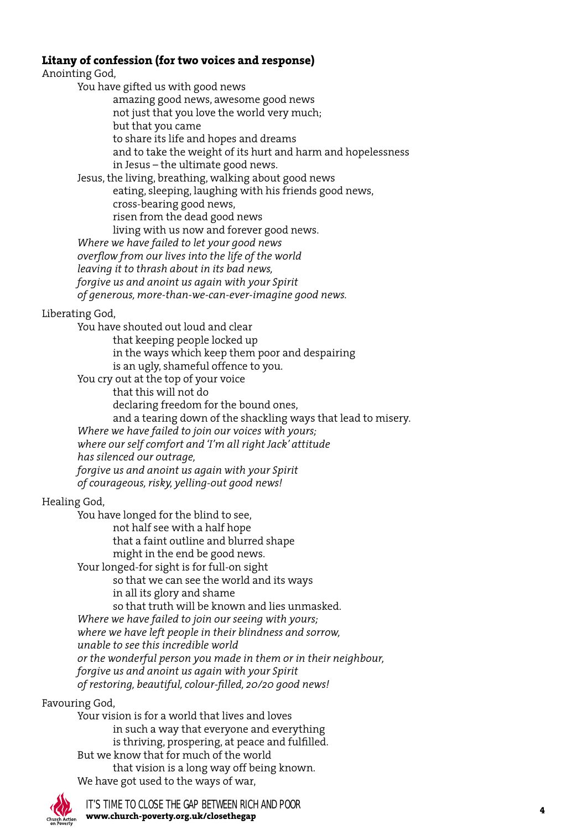### **Litany of confession (for two voices and response)**

Anointing God,

You have gifted us with good news

 amazing good news, awesome good news not just that you love the world very much; but that you came to share its life and hopes and dreams and to take the weight of its hurt and harm and hopelessness in Jesus – the ultimate good news. Jesus, the living, breathing, walking about good news eating, sleeping, laughing with his friends good news, cross-bearing good news, risen from the dead good news living with us now and forever good news. *Where we have failed to let your good news overflow from our lives into the life of the world leaving it to thrash about in its bad news, forgive us and anoint us again with your Spirit of generous, more-than-we-can-ever-imagine good news.*

Liberating God,

You have shouted out loud and clear that keeping people locked up in the ways which keep them poor and despairing is an ugly, shameful offence to you. You cry out at the top of your voice

 that this will not do declaring freedom for the bound ones, and a tearing down of the shackling ways that lead to misery. *Where we have failed to join our voices with yours; where our self comfort and 'I'm all right Jack' attitude has silenced our outrage, forgive us and anoint us again with your Spirit of courageous, risky, yelling-out good news!*

#### Healing God,

You have longed for the blind to see, not half see with a half hope that a faint outline and blurred shape might in the end be good news. Your longed-for sight is for full-on sight so that we can see the world and its ways in all its glory and shame so that truth will be known and lies unmasked. *Where we have failed to join our seeing with yours; where we have left people in their blindness and sorrow, unable to see this incredible world or the wonderful person you made in them or in their neighbour, forgive us and anoint us again with your Spirit of restoring, beautiful, colour-filled, 20/20 good news!*

#### Favouring God,

Your vision is for a world that lives and loves in such a way that everyone and everything is thriving, prospering, at peace and fulfilled. But we know that for much of the world that vision is a long way off being known. We have got used to the ways of war,

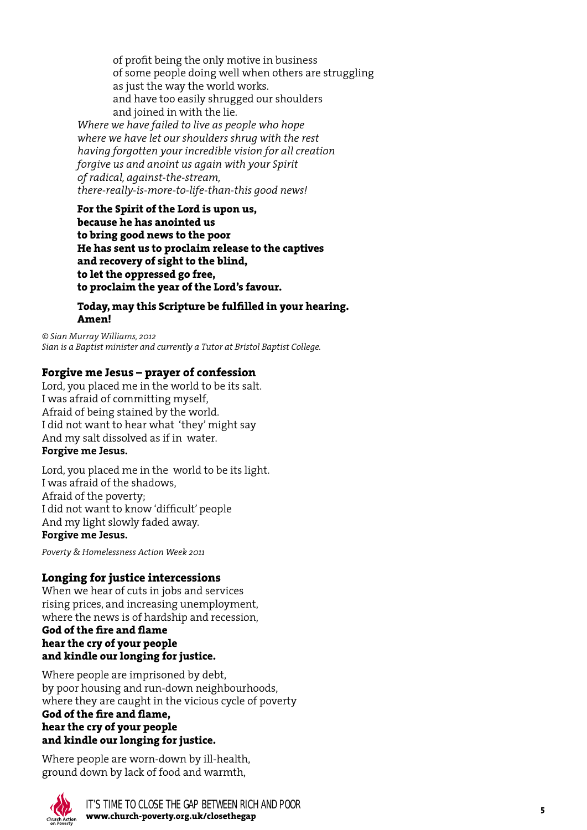of profit being the only motive in business of some people doing well when others are struggling as just the way the world works. and have too easily shrugged our shoulders and joined in with the lie.

*Where we have failed to live as people who hope where we have let our shoulders shrug with the rest having forgotten your incredible vision for all creation forgive us and anoint us again with your Spirit of radical, against-the-stream, there-really-is-more-to-life-than-this good news!*

**For the Spirit of the Lord is upon us, because he has anointed us to bring good news to the poor He has sent us to proclaim release to the captives and recovery of sight to the blind, to let the oppressed go free, to proclaim the year of the Lord's favour.**

#### **Today, may this Scripture be fulfilled in your hearing. Amen!**

*© Sian Murray Williams, 2012 Sian is a Baptist minister and currently a Tutor at Bristol Baptist College.*

## **Forgive me Jesus – prayer of confession**

Lord, you placed me in the world to be its salt. I was afraid of committing myself, Afraid of being stained by the world. I did not want to hear what 'they' might say And my salt dissolved as if in water. **Forgive me Jesus.**

Lord, you placed me in the world to be its light. I was afraid of the shadows, Afraid of the poverty; I did not want to know 'difficult' people And my light slowly faded away.

#### **Forgive me Jesus.**

*Poverty & Homelessness Action Week 2011*

### **Longing for justice intercessions**

When we hear of cuts in jobs and services rising prices, and increasing unemployment, where the news is of hardship and recession,

#### **God of the fire and flame hear the cry of your people and kindle our longing for justice.**

Where people are imprisoned by debt, by poor housing and run-down neighbourhoods, where they are caught in the vicious cycle of poverty **God of the fire and flame, hear the cry of your people and kindle our longing for justice.** 

Where people are worn-down by ill-health, ground down by lack of food and warmth,

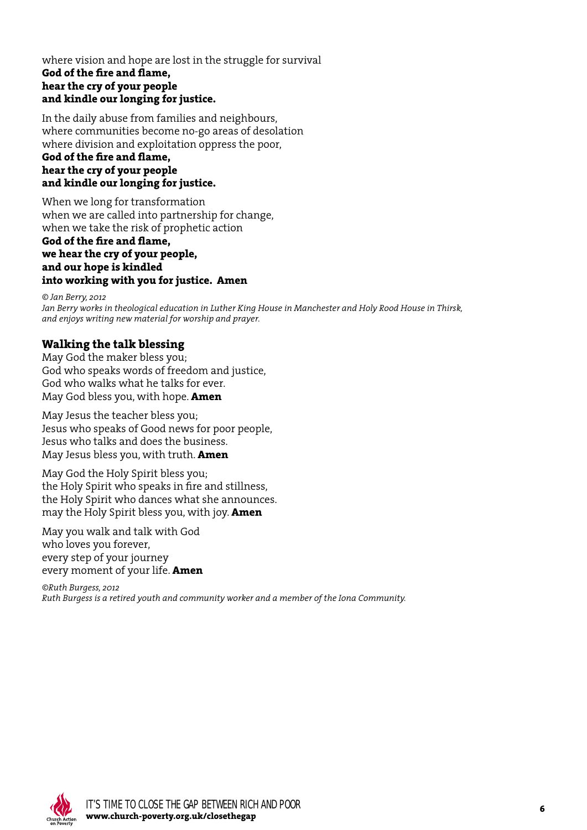#### where vision and hope are lost in the struggle for survival **God of the fire and flame, hear the cry of your people and kindle our longing for justice.**

In the daily abuse from families and neighbours, where communities become no-go areas of desolation where division and exploitation oppress the poor,

#### **God of the fire and flame, hear the cry of your people and kindle our longing for justice.**

When we long for transformation when we are called into partnership for change, when we take the risk of prophetic action

#### **God of the fire and flame, we hear the cry of your people, and our hope is kindled into working with you for justice. Amen**

*© Jan Berry, 2012 Jan Berry works in theological education in Luther King House in Manchester and Holy Rood House in Thirsk, and enjoys writing new material for worship and prayer.* 

## **Walking the talk blessing**

May God the maker bless you; God who speaks words of freedom and justice, God who walks what he talks for ever. May God bless you, with hope. **Amen**

May Jesus the teacher bless you; Jesus who speaks of Good news for poor people, Jesus who talks and does the business. May Jesus bless you, with truth. **Amen**

May God the Holy Spirit bless you; the Holy Spirit who speaks in fire and stillness, the Holy Spirit who dances what she announces. may the Holy Spirit bless you, with joy. **Amen**

May you walk and talk with God who loves you forever, every step of your journey every moment of your life. **Amen**

*©Ruth Burgess, 2012 Ruth Burgess is a retired youth and community worker and a member of the Iona Community.*

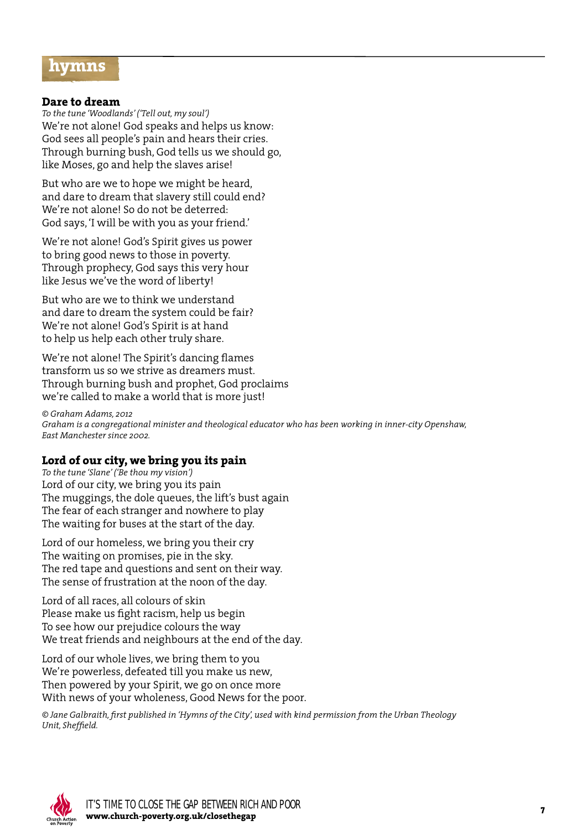## **hymns**

#### **Dare to dream**

*To the tune 'Woodlands' ('Tell out, my soul')* We're not alone! God speaks and helps us know: God sees all people's pain and hears their cries. Through burning bush, God tells us we should go, like Moses, go and help the slaves arise!

But who are we to hope we might be heard, and dare to dream that slavery still could end? We're not alone! So do not be deterred: God says, 'I will be with you as your friend.'

We're not alone! God's Spirit gives us power to bring good news to those in poverty. Through prophecy, God says this very hour like Jesus we've the word of liberty!

But who are we to think we understand and dare to dream the system could be fair? We're not alone! God's Spirit is at hand to help us help each other truly share.

We're not alone! The Spirit's dancing flames transform us so we strive as dreamers must. Through burning bush and prophet, God proclaims we're called to make a world that is more just!

*© Graham Adams, 2012 Graham is a congregational minister and theological educator who has been working in inner-city Openshaw, East Manchester since 2002.*

#### **Lord of our city, we bring you its pain**

*To the tune 'Slane' ('Be thou my vision')* Lord of our city, we bring you its pain The muggings, the dole queues, the lift's bust again The fear of each stranger and nowhere to play The waiting for buses at the start of the day.

Lord of our homeless, we bring you their cry The waiting on promises, pie in the sky. The red tape and questions and sent on their way. The sense of frustration at the noon of the day.

Lord of all races, all colours of skin Please make us fight racism, help us begin To see how our prejudice colours the way We treat friends and neighbours at the end of the day.

Lord of our whole lives, we bring them to you We're powerless, defeated till you make us new, Then powered by your Spirit, we go on once more With news of your wholeness, Good News for the poor.

*© Jane Galbraith, first published in 'Hymns of the City', used with kind permission from the Urban Theology Unit, Sheffield.*